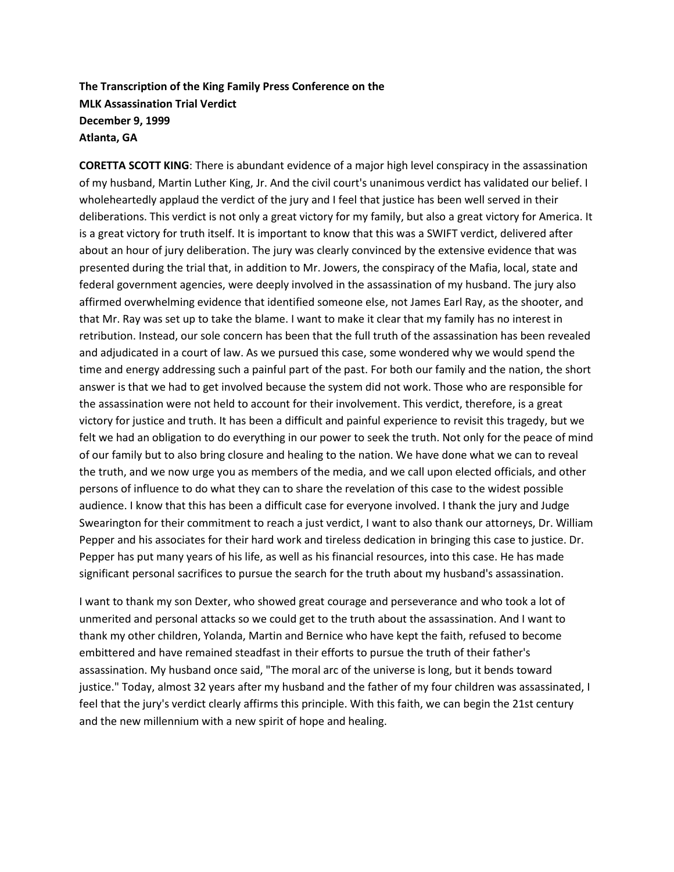## **The Transcription of the King Family Press Conference on the MLK Assassination Trial Verdict December 9, 1999 Atlanta, GA**

**CORETTA SCOTT KING**: There is abundant evidence of a major high level conspiracy in the assassination of my husband, Martin Luther King, Jr. And the civil court's unanimous verdict has validated our belief. I wholeheartedly applaud the verdict of the jury and I feel that justice has been well served in their deliberations. This verdict is not only a great victory for my family, but also a great victory for America. It is a great victory for truth itself. It is important to know that this was a SWIFT verdict, delivered after about an hour of jury deliberation. The jury was clearly convinced by the extensive evidence that was presented during the trial that, in addition to Mr. Jowers, the conspiracy of the Mafia, local, state and federal government agencies, were deeply involved in the assassination of my husband. The jury also affirmed overwhelming evidence that identified someone else, not James Earl Ray, as the shooter, and that Mr. Ray was set up to take the blame. I want to make it clear that my family has no interest in retribution. Instead, our sole concern has been that the full truth of the assassination has been revealed and adjudicated in a court of law. As we pursued this case, some wondered why we would spend the time and energy addressing such a painful part of the past. For both our family and the nation, the short answer is that we had to get involved because the system did not work. Those who are responsible for the assassination were not held to account for their involvement. This verdict, therefore, is a great victory for justice and truth. It has been a difficult and painful experience to revisit this tragedy, but we felt we had an obligation to do everything in our power to seek the truth. Not only for the peace of mind of our family but to also bring closure and healing to the nation. We have done what we can to reveal the truth, and we now urge you as members of the media, and we call upon elected officials, and other persons of influence to do what they can to share the revelation of this case to the widest possible audience. I know that this has been a difficult case for everyone involved. I thank the jury and Judge Swearington for their commitment to reach a just verdict, I want to also thank our attorneys, Dr. William Pepper and his associates for their hard work and tireless dedication in bringing this case to justice. Dr. Pepper has put many years of his life, as well as his financial resources, into this case. He has made significant personal sacrifices to pursue the search for the truth about my husband's assassination.

I want to thank my son Dexter, who showed great courage and perseverance and who took a lot of unmerited and personal attacks so we could get to the truth about the assassination. And I want to thank my other children, Yolanda, Martin and Bernice who have kept the faith, refused to become embittered and have remained steadfast in their efforts to pursue the truth of their father's assassination. My husband once said, "The moral arc of the universe is long, but it bends toward justice." Today, almost 32 years after my husband and the father of my four children was assassinated, I feel that the jury's verdict clearly affirms this principle. With this faith, we can begin the 21st century and the new millennium with a new spirit of hope and healing.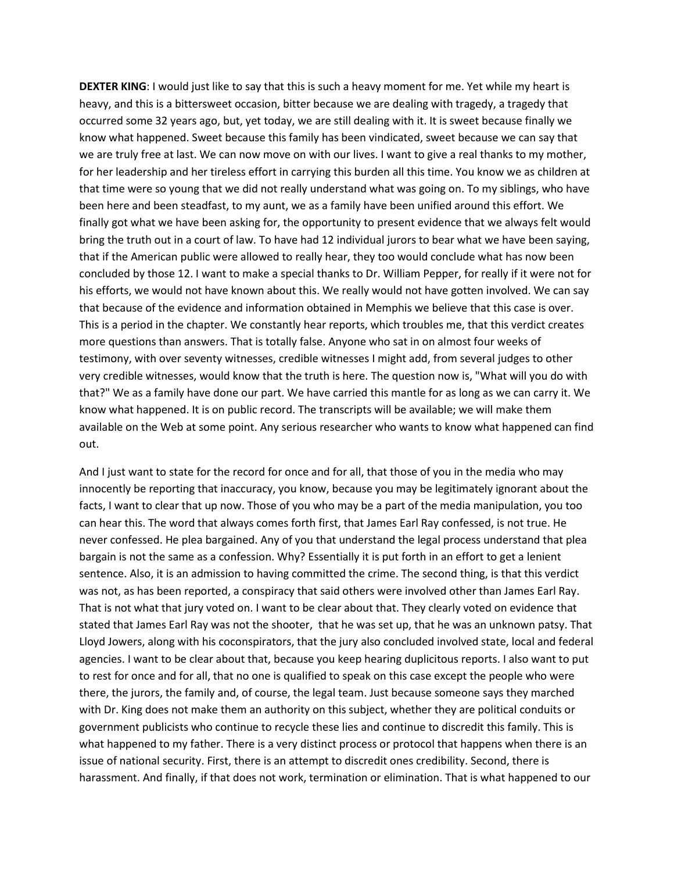**DEXTER KING**: I would just like to say that this is such a heavy moment for me. Yet while my heart is heavy, and this is a bittersweet occasion, bitter because we are dealing with tragedy, a tragedy that occurred some 32 years ago, but, yet today, we are still dealing with it. It is sweet because finally we know what happened. Sweet because this family has been vindicated, sweet because we can say that we are truly free at last. We can now move on with our lives. I want to give a real thanks to my mother, for her leadership and her tireless effort in carrying this burden all this time. You know we as children at that time were so young that we did not really understand what was going on. To my siblings, who have been here and been steadfast, to my aunt, we as a family have been unified around this effort. We finally got what we have been asking for, the opportunity to present evidence that we always felt would bring the truth out in a court of law. To have had 12 individual jurors to bear what we have been saying, that if the American public were allowed to really hear, they too would conclude what has now been concluded by those 12. I want to make a special thanks to Dr. William Pepper, for really if it were not for his efforts, we would not have known about this. We really would not have gotten involved. We can say that because of the evidence and information obtained in Memphis we believe that this case is over. This is a period in the chapter. We constantly hear reports, which troubles me, that this verdict creates more questions than answers. That is totally false. Anyone who sat in on almost four weeks of testimony, with over seventy witnesses, credible witnesses I might add, from several judges to other very credible witnesses, would know that the truth is here. The question now is, "What will you do with that?" We as a family have done our part. We have carried this mantle for as long as we can carry it. We know what happened. It is on public record. The transcripts will be available; we will make them available on the Web at some point. Any serious researcher who wants to know what happened can find out.

And I just want to state for the record for once and for all, that those of you in the media who may innocently be reporting that inaccuracy, you know, because you may be legitimately ignorant about the facts, I want to clear that up now. Those of you who may be a part of the media manipulation, you too can hear this. The word that always comes forth first, that James Earl Ray confessed, is not true. He never confessed. He plea bargained. Any of you that understand the legal process understand that plea bargain is not the same as a confession. Why? Essentially it is put forth in an effort to get a lenient sentence. Also, it is an admission to having committed the crime. The second thing, is that this verdict was not, as has been reported, a conspiracy that said others were involved other than James Earl Ray. That is not what that jury voted on. I want to be clear about that. They clearly voted on evidence that stated that James Earl Ray was not the shooter, that he was set up, that he was an unknown patsy. That Lloyd Jowers, along with his coconspirators, that the jury also concluded involved state, local and federal agencies. I want to be clear about that, because you keep hearing duplicitous reports. I also want to put to rest for once and for all, that no one is qualified to speak on this case except the people who were there, the jurors, the family and, of course, the legal team. Just because someone says they marched with Dr. King does not make them an authority on this subject, whether they are political conduits or government publicists who continue to recycle these lies and continue to discredit this family. This is what happened to my father. There is a very distinct process or protocol that happens when there is an issue of national security. First, there is an attempt to discredit ones credibility. Second, there is harassment. And finally, if that does not work, termination or elimination. That is what happened to our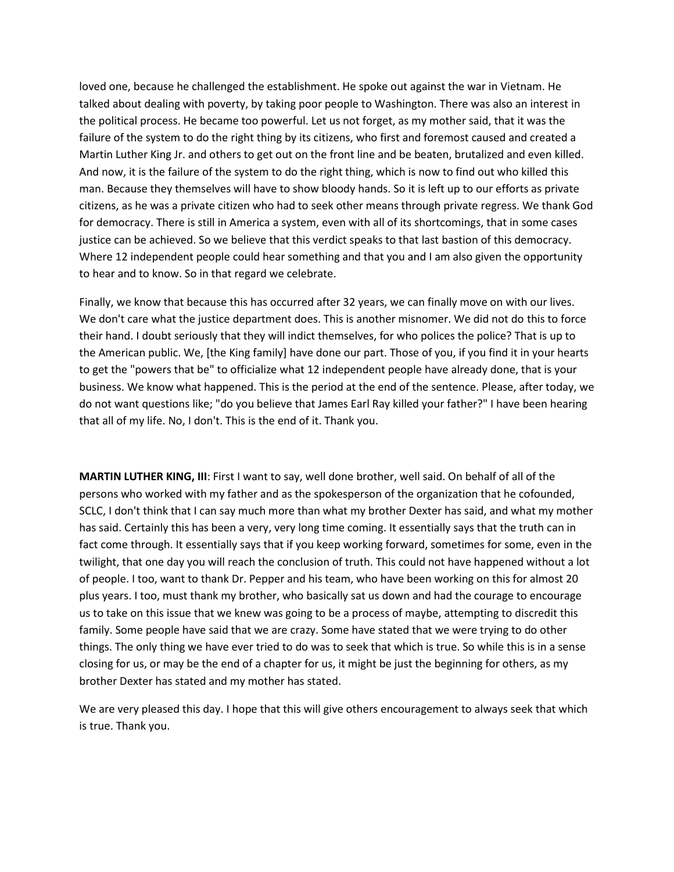loved one, because he challenged the establishment. He spoke out against the war in Vietnam. He talked about dealing with poverty, by taking poor people to Washington. There was also an interest in the political process. He became too powerful. Let us not forget, as my mother said, that it was the failure of the system to do the right thing by its citizens, who first and foremost caused and created a Martin Luther King Jr. and others to get out on the front line and be beaten, brutalized and even killed. And now, it is the failure of the system to do the right thing, which is now to find out who killed this man. Because they themselves will have to show bloody hands. So it is left up to our efforts as private citizens, as he was a private citizen who had to seek other means through private regress. We thank God for democracy. There is still in America a system, even with all of its shortcomings, that in some cases justice can be achieved. So we believe that this verdict speaks to that last bastion of this democracy. Where 12 independent people could hear something and that you and I am also given the opportunity to hear and to know. So in that regard we celebrate.

Finally, we know that because this has occurred after 32 years, we can finally move on with our lives. We don't care what the justice department does. This is another misnomer. We did not do this to force their hand. I doubt seriously that they will indict themselves, for who polices the police? That is up to the American public. We, [the King family] have done our part. Those of you, if you find it in your hearts to get the "powers that be" to officialize what 12 independent people have already done, that is your business. We know what happened. This is the period at the end of the sentence. Please, after today, we do not want questions like; "do you believe that James Earl Ray killed your father?" I have been hearing that all of my life. No, I don't. This is the end of it. Thank you.

**MARTIN LUTHER KING, III**: First I want to say, well done brother, well said. On behalf of all of the persons who worked with my father and as the spokesperson of the organization that he cofounded, SCLC, I don't think that I can say much more than what my brother Dexter has said, and what my mother has said. Certainly this has been a very, very long time coming. It essentially says that the truth can in fact come through. It essentially says that if you keep working forward, sometimes for some, even in the twilight, that one day you will reach the conclusion of truth. This could not have happened without a lot of people. I too, want to thank Dr. Pepper and his team, who have been working on this for almost 20 plus years. I too, must thank my brother, who basically sat us down and had the courage to encourage us to take on this issue that we knew was going to be a process of maybe, attempting to discredit this family. Some people have said that we are crazy. Some have stated that we were trying to do other things. The only thing we have ever tried to do was to seek that which is true. So while this is in a sense closing for us, or may be the end of a chapter for us, it might be just the beginning for others, as my brother Dexter has stated and my mother has stated.

We are very pleased this day. I hope that this will give others encouragement to always seek that which is true. Thank you.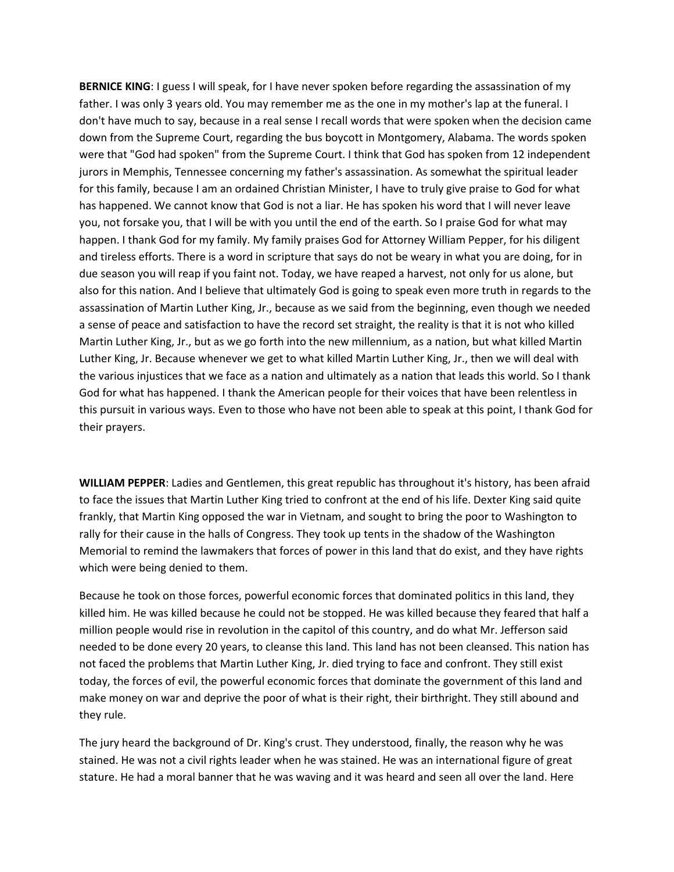**BERNICE KING**: I guess I will speak, for I have never spoken before regarding the assassination of my father. I was only 3 years old. You may remember me as the one in my mother's lap at the funeral. I don't have much to say, because in a real sense I recall words that were spoken when the decision came down from the Supreme Court, regarding the bus boycott in Montgomery, Alabama. The words spoken were that "God had spoken" from the Supreme Court. I think that God has spoken from 12 independent jurors in Memphis, Tennessee concerning my father's assassination. As somewhat the spiritual leader for this family, because I am an ordained Christian Minister, I have to truly give praise to God for what has happened. We cannot know that God is not a liar. He has spoken his word that I will never leave you, not forsake you, that I will be with you until the end of the earth. So I praise God for what may happen. I thank God for my family. My family praises God for Attorney William Pepper, for his diligent and tireless efforts. There is a word in scripture that says do not be weary in what you are doing, for in due season you will reap if you faint not. Today, we have reaped a harvest, not only for us alone, but also for this nation. And I believe that ultimately God is going to speak even more truth in regards to the assassination of Martin Luther King, Jr., because as we said from the beginning, even though we needed a sense of peace and satisfaction to have the record set straight, the reality is that it is not who killed Martin Luther King, Jr., but as we go forth into the new millennium, as a nation, but what killed Martin Luther King, Jr. Because whenever we get to what killed Martin Luther King, Jr., then we will deal with the various injustices that we face as a nation and ultimately as a nation that leads this world. So I thank God for what has happened. I thank the American people for their voices that have been relentless in this pursuit in various ways. Even to those who have not been able to speak at this point, I thank God for their prayers.

**WILLIAM PEPPER**: Ladies and Gentlemen, this great republic has throughout it's history, has been afraid to face the issues that Martin Luther King tried to confront at the end of his life. Dexter King said quite frankly, that Martin King opposed the war in Vietnam, and sought to bring the poor to Washington to rally for their cause in the halls of Congress. They took up tents in the shadow of the Washington Memorial to remind the lawmakers that forces of power in this land that do exist, and they have rights which were being denied to them.

Because he took on those forces, powerful economic forces that dominated politics in this land, they killed him. He was killed because he could not be stopped. He was killed because they feared that half a million people would rise in revolution in the capitol of this country, and do what Mr. Jefferson said needed to be done every 20 years, to cleanse this land. This land has not been cleansed. This nation has not faced the problems that Martin Luther King, Jr. died trying to face and confront. They still exist today, the forces of evil, the powerful economic forces that dominate the government of this land and make money on war and deprive the poor of what is their right, their birthright. They still abound and they rule.

The jury heard the background of Dr. King's crust. They understood, finally, the reason why he was stained. He was not a civil rights leader when he was stained. He was an international figure of great stature. He had a moral banner that he was waving and it was heard and seen all over the land. Here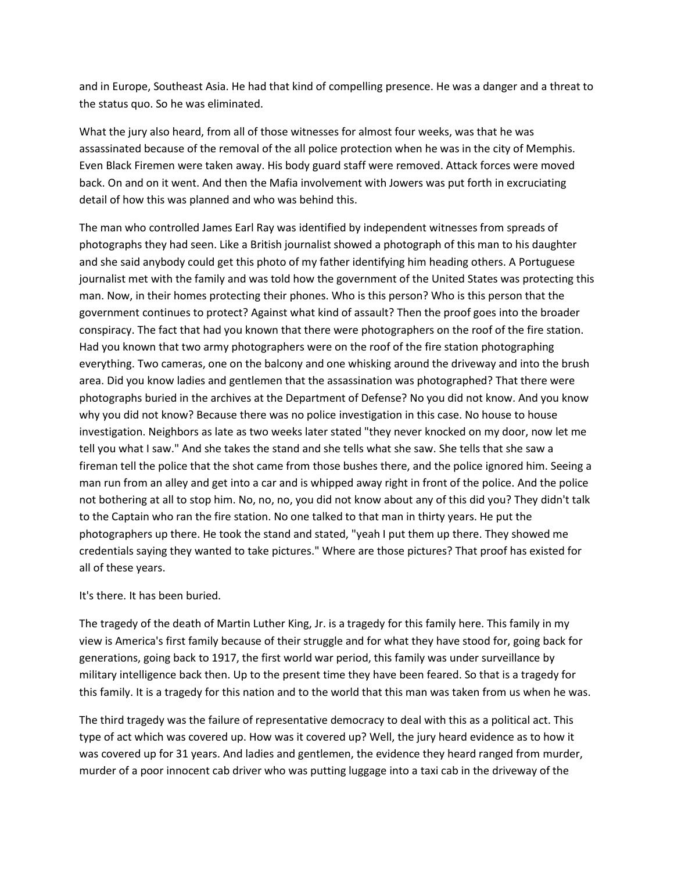and in Europe, Southeast Asia. He had that kind of compelling presence. He was a danger and a threat to the status quo. So he was eliminated.

What the jury also heard, from all of those witnesses for almost four weeks, was that he was assassinated because of the removal of the all police protection when he was in the city of Memphis. Even Black Firemen were taken away. His body guard staff were removed. Attack forces were moved back. On and on it went. And then the Mafia involvement with Jowers was put forth in excruciating detail of how this was planned and who was behind this.

The man who controlled James Earl Ray was identified by independent witnesses from spreads of photographs they had seen. Like a British journalist showed a photograph of this man to his daughter and she said anybody could get this photo of my father identifying him heading others. A Portuguese journalist met with the family and was told how the government of the United States was protecting this man. Now, in their homes protecting their phones. Who is this person? Who is this person that the government continues to protect? Against what kind of assault? Then the proof goes into the broader conspiracy. The fact that had you known that there were photographers on the roof of the fire station. Had you known that two army photographers were on the roof of the fire station photographing everything. Two cameras, one on the balcony and one whisking around the driveway and into the brush area. Did you know ladies and gentlemen that the assassination was photographed? That there were photographs buried in the archives at the Department of Defense? No you did not know. And you know why you did not know? Because there was no police investigation in this case. No house to house investigation. Neighbors as late as two weeks later stated "they never knocked on my door, now let me tell you what I saw." And she takes the stand and she tells what she saw. She tells that she saw a fireman tell the police that the shot came from those bushes there, and the police ignored him. Seeing a man run from an alley and get into a car and is whipped away right in front of the police. And the police not bothering at all to stop him. No, no, no, you did not know about any of this did you? They didn't talk to the Captain who ran the fire station. No one talked to that man in thirty years. He put the photographers up there. He took the stand and stated, "yeah I put them up there. They showed me credentials saying they wanted to take pictures." Where are those pictures? That proof has existed for all of these years.

## It's there. It has been buried.

The tragedy of the death of Martin Luther King, Jr. is a tragedy for this family here. This family in my view is America's first family because of their struggle and for what they have stood for, going back for generations, going back to 1917, the first world war period, this family was under surveillance by military intelligence back then. Up to the present time they have been feared. So that is a tragedy for this family. It is a tragedy for this nation and to the world that this man was taken from us when he was.

The third tragedy was the failure of representative democracy to deal with this as a political act. This type of act which was covered up. How was it covered up? Well, the jury heard evidence as to how it was covered up for 31 years. And ladies and gentlemen, the evidence they heard ranged from murder, murder of a poor innocent cab driver who was putting luggage into a taxi cab in the driveway of the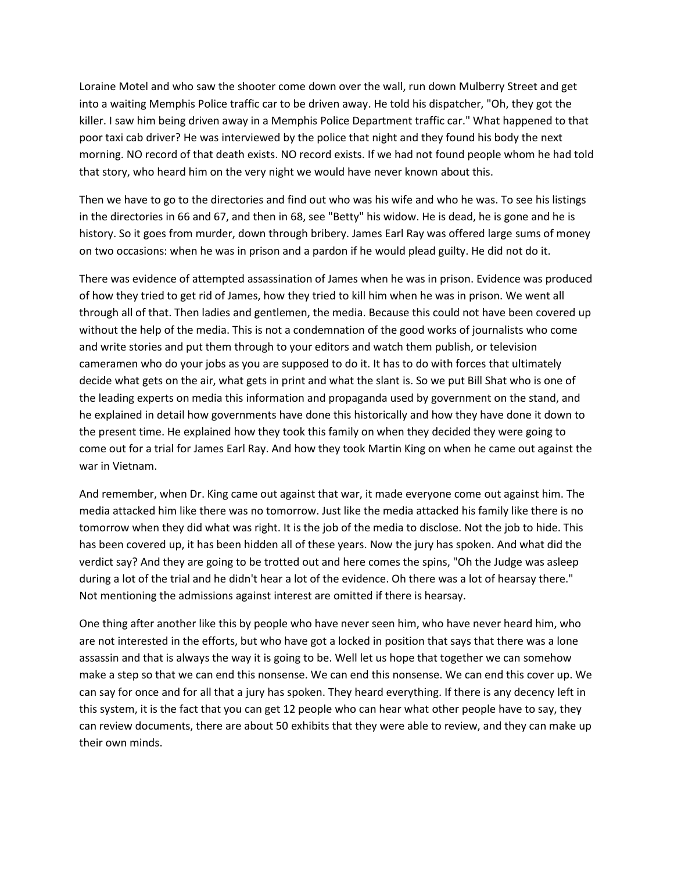Loraine Motel and who saw the shooter come down over the wall, run down Mulberry Street and get into a waiting Memphis Police traffic car to be driven away. He told his dispatcher, "Oh, they got the killer. I saw him being driven away in a Memphis Police Department traffic car." What happened to that poor taxi cab driver? He was interviewed by the police that night and they found his body the next morning. NO record of that death exists. NO record exists. If we had not found people whom he had told that story, who heard him on the very night we would have never known about this.

Then we have to go to the directories and find out who was his wife and who he was. To see his listings in the directories in 66 and 67, and then in 68, see "Betty" his widow. He is dead, he is gone and he is history. So it goes from murder, down through bribery. James Earl Ray was offered large sums of money on two occasions: when he was in prison and a pardon if he would plead guilty. He did not do it.

There was evidence of attempted assassination of James when he was in prison. Evidence was produced of how they tried to get rid of James, how they tried to kill him when he was in prison. We went all through all of that. Then ladies and gentlemen, the media. Because this could not have been covered up without the help of the media. This is not a condemnation of the good works of journalists who come and write stories and put them through to your editors and watch them publish, or television cameramen who do your jobs as you are supposed to do it. It has to do with forces that ultimately decide what gets on the air, what gets in print and what the slant is. So we put Bill Shat who is one of the leading experts on media this information and propaganda used by government on the stand, and he explained in detail how governments have done this historically and how they have done it down to the present time. He explained how they took this family on when they decided they were going to come out for a trial for James Earl Ray. And how they took Martin King on when he came out against the war in Vietnam.

And remember, when Dr. King came out against that war, it made everyone come out against him. The media attacked him like there was no tomorrow. Just like the media attacked his family like there is no tomorrow when they did what was right. It is the job of the media to disclose. Not the job to hide. This has been covered up, it has been hidden all of these years. Now the jury has spoken. And what did the verdict say? And they are going to be trotted out and here comes the spins, "Oh the Judge was asleep during a lot of the trial and he didn't hear a lot of the evidence. Oh there was a lot of hearsay there." Not mentioning the admissions against interest are omitted if there is hearsay.

One thing after another like this by people who have never seen him, who have never heard him, who are not interested in the efforts, but who have got a locked in position that says that there was a lone assassin and that is always the way it is going to be. Well let us hope that together we can somehow make a step so that we can end this nonsense. We can end this nonsense. We can end this cover up. We can say for once and for all that a jury has spoken. They heard everything. If there is any decency left in this system, it is the fact that you can get 12 people who can hear what other people have to say, they can review documents, there are about 50 exhibits that they were able to review, and they can make up their own minds.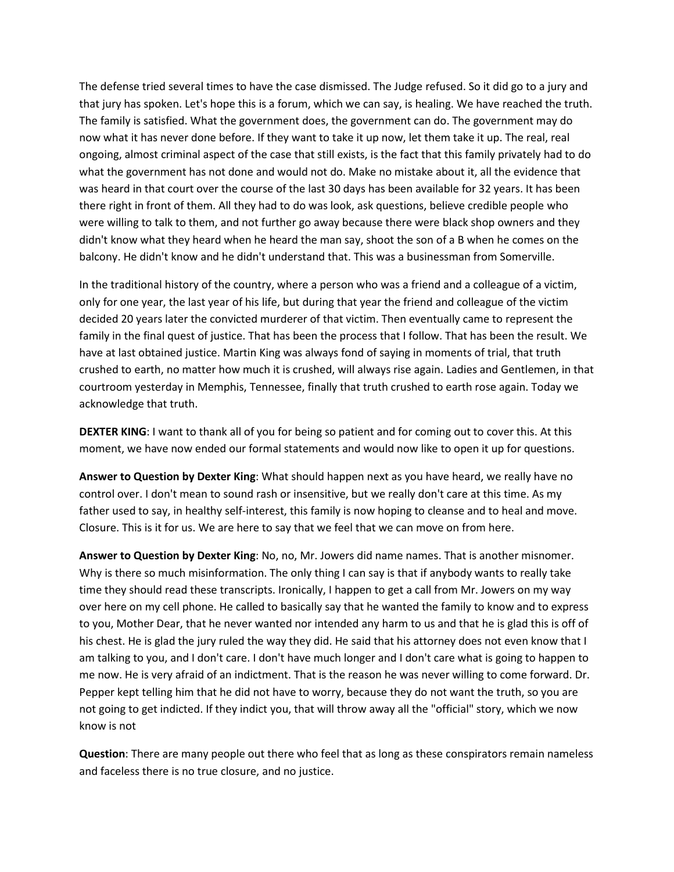The defense tried several times to have the case dismissed. The Judge refused. So it did go to a jury and that jury has spoken. Let's hope this is a forum, which we can say, is healing. We have reached the truth. The family is satisfied. What the government does, the government can do. The government may do now what it has never done before. If they want to take it up now, let them take it up. The real, real ongoing, almost criminal aspect of the case that still exists, is the fact that this family privately had to do what the government has not done and would not do. Make no mistake about it, all the evidence that was heard in that court over the course of the last 30 days has been available for 32 years. It has been there right in front of them. All they had to do was look, ask questions, believe credible people who were willing to talk to them, and not further go away because there were black shop owners and they didn't know what they heard when he heard the man say, shoot the son of a B when he comes on the balcony. He didn't know and he didn't understand that. This was a businessman from Somerville.

In the traditional history of the country, where a person who was a friend and a colleague of a victim, only for one year, the last year of his life, but during that year the friend and colleague of the victim decided 20 years later the convicted murderer of that victim. Then eventually came to represent the family in the final quest of justice. That has been the process that I follow. That has been the result. We have at last obtained justice. Martin King was always fond of saying in moments of trial, that truth crushed to earth, no matter how much it is crushed, will always rise again. Ladies and Gentlemen, in that courtroom yesterday in Memphis, Tennessee, finally that truth crushed to earth rose again. Today we acknowledge that truth.

**DEXTER KING**: I want to thank all of you for being so patient and for coming out to cover this. At this moment, we have now ended our formal statements and would now like to open it up for questions.

**Answer to Question by Dexter King**: What should happen next as you have heard, we really have no control over. I don't mean to sound rash or insensitive, but we really don't care at this time. As my father used to say, in healthy self-interest, this family is now hoping to cleanse and to heal and move. Closure. This is it for us. We are here to say that we feel that we can move on from here.

**Answer to Question by Dexter King**: No, no, Mr. Jowers did name names. That is another misnomer. Why is there so much misinformation. The only thing I can say is that if anybody wants to really take time they should read these transcripts. Ironically, I happen to get a call from Mr. Jowers on my way over here on my cell phone. He called to basically say that he wanted the family to know and to express to you, Mother Dear, that he never wanted nor intended any harm to us and that he is glad this is off of his chest. He is glad the jury ruled the way they did. He said that his attorney does not even know that I am talking to you, and I don't care. I don't have much longer and I don't care what is going to happen to me now. He is very afraid of an indictment. That is the reason he was never willing to come forward. Dr. Pepper kept telling him that he did not have to worry, because they do not want the truth, so you are not going to get indicted. If they indict you, that will throw away all the "official" story, which we now know is not

**Question**: There are many people out there who feel that as long as these conspirators remain nameless and faceless there is no true closure, and no justice.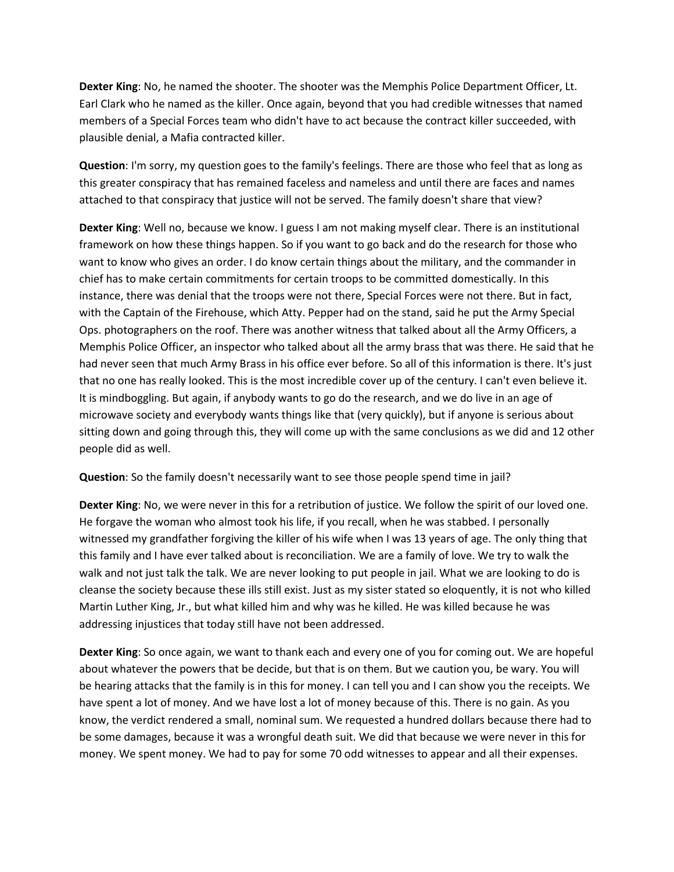**Dexter King**: No, he named the shooter. The shooter was the Memphis Police Department Officer, Lt. Earl Clark who he named as the killer. Once again, beyond that you had credible witnesses that named members of a Special Forces team who didn't have to act because the contract killer succeeded, with plausible denial, a Mafia contracted killer.

**Question**: I'm sorry, my question goes to the family's feelings. There are those who feel that as long as this greater conspiracy that has remained faceless and nameless and until there are faces and names attached to that conspiracy that justice will not be served. The family doesn't share that view?

**Dexter King**: Well no, because we know. I guess I am not making myself clear. There is an institutional framework on how these things happen. So if you want to go back and do the research for those who want to know who gives an order. I do know certain things about the military, and the commander in chief has to make certain commitments for certain troops to be committed domestically. In this instance, there was denial that the troops were not there, Special Forces were not there. But in fact, with the Captain of the Firehouse, which Atty. Pepper had on the stand, said he put the Army Special Ops. photographers on the roof. There was another witness that talked about all the Army Officers, a Memphis Police Officer, an inspector who talked about all the army brass that was there. He said that he had never seen that much Army Brass in his office ever before. So all of this information is there. It's just that no one has really looked. This is the most incredible cover up of the century. I can't even believe it. It is mindboggling. But again, if anybody wants to go do the research, and we do live in an age of microwave society and everybody wants things like that (very quickly), but if anyone is serious about sitting down and going through this, they will come up with the same conclusions as we did and 12 other people did as well.

**Question**: So the family doesn't necessarily want to see those people spend time in jail?

**Dexter King**: No, we were never in this for a retribution of justice. We follow the spirit of our loved one. He forgave the woman who almost took his life, if you recall, when he was stabbed. I personally witnessed my grandfather forgiving the killer of his wife when I was 13 years of age. The only thing that this family and I have ever talked about is reconciliation. We are a family of love. We try to walk the walk and not just talk the talk. We are never looking to put people in jail. What we are looking to do is cleanse the society because these ills still exist. Just as my sister stated so eloquently, it is not who killed Martin Luther King, Jr., but what killed him and why was he killed. He was killed because he was addressing injustices that today still have not been addressed.

**Dexter King**: So once again, we want to thank each and every one of you for coming out. We are hopeful about whatever the powers that be decide, but that is on them. But we caution you, be wary. You will be hearing attacks that the family is in this for money. I can tell you and I can show you the receipts. We have spent a lot of money. And we have lost a lot of money because of this. There is no gain. As you know, the verdict rendered a small, nominal sum. We requested a hundred dollars because there had to be some damages, because it was a wrongful death suit. We did that because we were never in this for money. We spent money. We had to pay for some 70 odd witnesses to appear and all their expenses.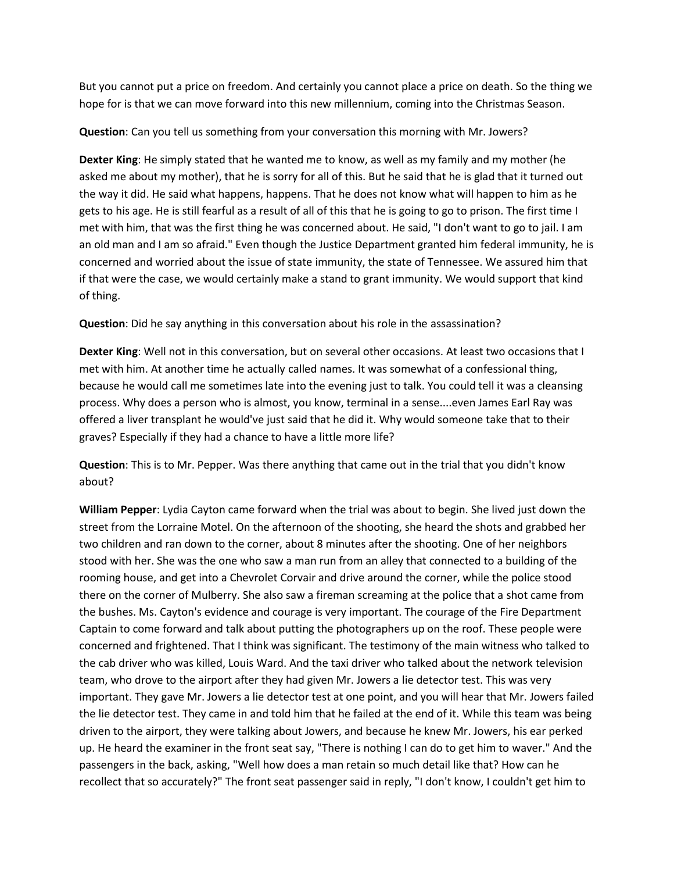But you cannot put a price on freedom. And certainly you cannot place a price on death. So the thing we hope for is that we can move forward into this new millennium, coming into the Christmas Season.

**Question**: Can you tell us something from your conversation this morning with Mr. Jowers?

**Dexter King**: He simply stated that he wanted me to know, as well as my family and my mother (he asked me about my mother), that he is sorry for all of this. But he said that he is glad that it turned out the way it did. He said what happens, happens. That he does not know what will happen to him as he gets to his age. He is still fearful as a result of all of this that he is going to go to prison. The first time I met with him, that was the first thing he was concerned about. He said, "I don't want to go to jail. I am an old man and I am so afraid." Even though the Justice Department granted him federal immunity, he is concerned and worried about the issue of state immunity, the state of Tennessee. We assured him that if that were the case, we would certainly make a stand to grant immunity. We would support that kind of thing.

**Question**: Did he say anything in this conversation about his role in the assassination?

**Dexter King**: Well not in this conversation, but on several other occasions. At least two occasions that I met with him. At another time he actually called names. It was somewhat of a confessional thing, because he would call me sometimes late into the evening just to talk. You could tell it was a cleansing process. Why does a person who is almost, you know, terminal in a sense....even James Earl Ray was offered a liver transplant he would've just said that he did it. Why would someone take that to their graves? Especially if they had a chance to have a little more life?

**Question**: This is to Mr. Pepper. Was there anything that came out in the trial that you didn't know about?

**William Pepper**: Lydia Cayton came forward when the trial was about to begin. She lived just down the street from the Lorraine Motel. On the afternoon of the shooting, she heard the shots and grabbed her two children and ran down to the corner, about 8 minutes after the shooting. One of her neighbors stood with her. She was the one who saw a man run from an alley that connected to a building of the rooming house, and get into a Chevrolet Corvair and drive around the corner, while the police stood there on the corner of Mulberry. She also saw a fireman screaming at the police that a shot came from the bushes. Ms. Cayton's evidence and courage is very important. The courage of the Fire Department Captain to come forward and talk about putting the photographers up on the roof. These people were concerned and frightened. That I think was significant. The testimony of the main witness who talked to the cab driver who was killed, Louis Ward. And the taxi driver who talked about the network television team, who drove to the airport after they had given Mr. Jowers a lie detector test. This was very important. They gave Mr. Jowers a lie detector test at one point, and you will hear that Mr. Jowers failed the lie detector test. They came in and told him that he failed at the end of it. While this team was being driven to the airport, they were talking about Jowers, and because he knew Mr. Jowers, his ear perked up. He heard the examiner in the front seat say, "There is nothing I can do to get him to waver." And the passengers in the back, asking, "Well how does a man retain so much detail like that? How can he recollect that so accurately?" The front seat passenger said in reply, "I don't know, I couldn't get him to